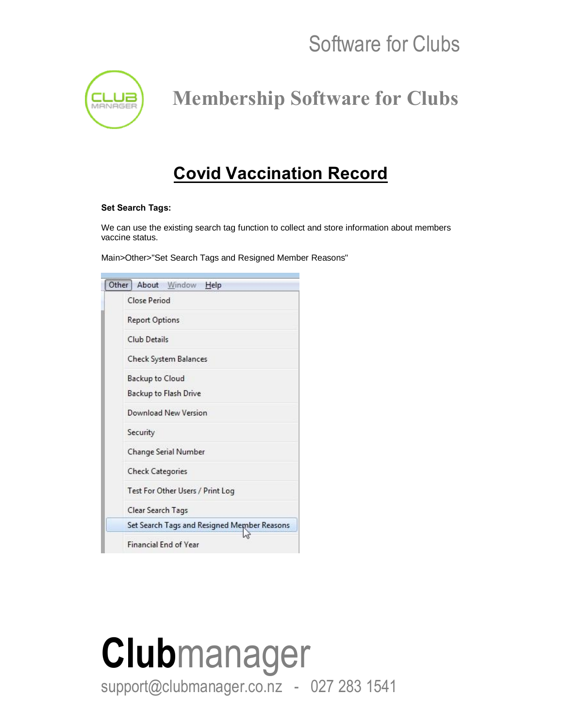

 **Membership Software for Clubs**

#### **Covid Vaccination Record**

#### **Set Search Tags:**

We can use the existing search tag function to collect and store information about members vaccine status.

Main>Other>"Set Search Tags and Resigned Member Reasons"

| Other About Window Help                     |
|---------------------------------------------|
| Close Period                                |
| <b>Report Options</b>                       |
| Club Details                                |
| Check System Balances                       |
| Backup to Cloud                             |
| Backup to Flash Drive                       |
| Download New Version                        |
| Security                                    |
| Change Serial Number                        |
| <b>Check Categories</b>                     |
| Test For Other Users / Print Log            |
| Clear Search Tags                           |
| Set Search Tags and Resigned Member Reasons |
| <b>Financial End of Year</b>                |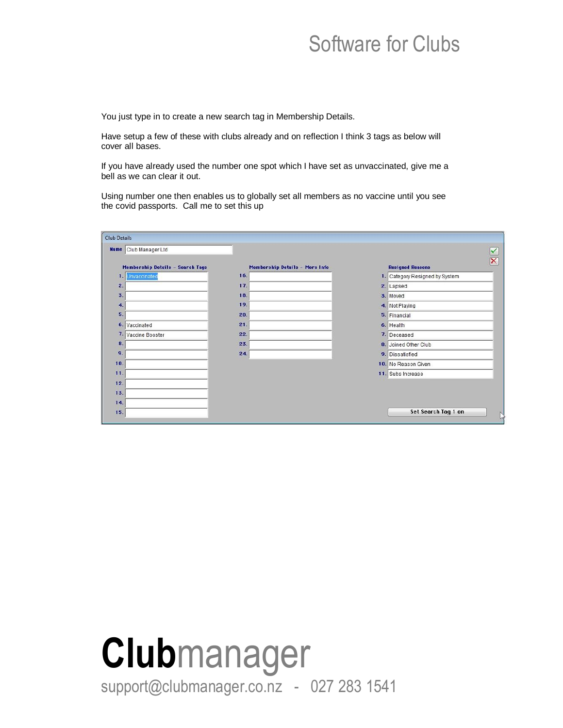You just type in to create a new search tag in Membership Details.

Have setup a few of these with clubs already and on reflection I think 3 tags as below will cover all bases.

If you have already used the number one spot which I have set as unvaccinated, give me a bell as we can clear it out.

Using number one then enables us to globally set all members as no vaccine until you see the covid passports. Call me to set this up

| <b>Club Details</b> |                                  |                                |                                                    |
|---------------------|----------------------------------|--------------------------------|----------------------------------------------------|
|                     | Name Club Manager Ltd            |                                | $\checkmark$                                       |
|                     | Membership Details - Search Tags | Membership Details - More Info | $\overline{\mathsf{x}}$<br><b>Resigned Reasons</b> |
|                     | 1. Unvaccinated                  | 16.                            | 1. Category Resigned by System                     |
| 2.                  |                                  | 17.                            | 2. Lapsed                                          |
| $\overline{3}$ .    |                                  | 18.                            | 3. Moved                                           |
| 4.                  |                                  | 19.                            | 4. Not Playing                                     |
| 5.                  |                                  | 20.                            | 5. Financial                                       |
|                     | 6. Vaccinated                    | 21.                            | 6. Health                                          |
|                     | 7. Vaccine Booster               | 22.                            | 7. Deceased                                        |
| 8.                  |                                  | 23.                            | 8. Joined Other Club                               |
| 9.                  |                                  | 24.                            | 9. Dissatisfied                                    |
| 10.                 |                                  |                                | 10. No Reason Given                                |
| 11.                 |                                  |                                | 11. Subs Increase                                  |
| 12.                 |                                  |                                |                                                    |
| 13.                 |                                  |                                |                                                    |
| 14.                 |                                  |                                |                                                    |
| 15 <sub>1</sub>     |                                  |                                | Set Search Tag 1 on<br>Ņ                           |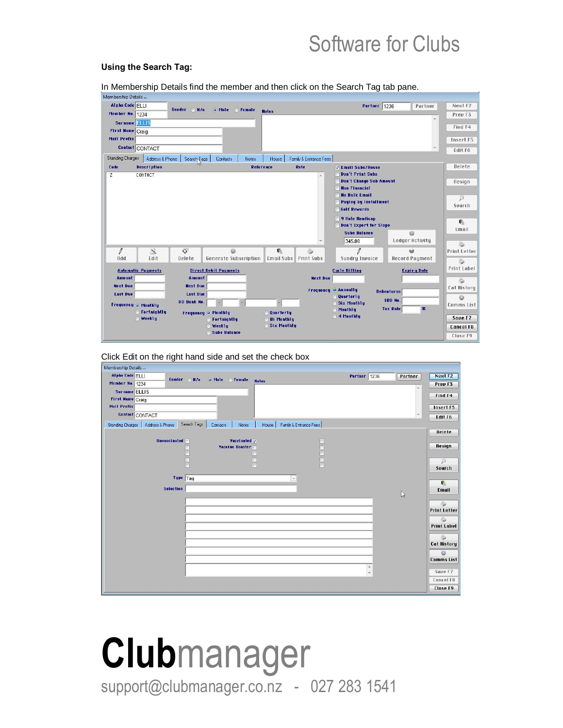#### **Using the Search Tag:**

In Membership Details find the member and then click on the Search Tag tab pane.

| Membership Details      |                           |                         |                                |                                  |                          |                                              |                                          |                    |
|-------------------------|---------------------------|-------------------------|--------------------------------|----------------------------------|--------------------------|----------------------------------------------|------------------------------------------|--------------------|
| <b>Alpha Code ELLI</b>  |                           | Gender<br>N/a           | o Male<br><b>Female</b>        |                                  |                          | Partner                                      | 1236<br>Partner                          | Next F2            |
| Member No. 1234         |                           |                         |                                | <b>Notes</b>                     |                          |                                              | Ä                                        | Preu F3            |
| Surname <b>ELLIS</b>    |                           |                         |                                |                                  |                          |                                              |                                          | Find F4            |
| <b>First Name Craig</b> |                           |                         |                                |                                  |                          |                                              |                                          |                    |
| Mail Prefix             |                           |                         |                                |                                  |                          |                                              |                                          | Insert F5          |
|                         | <b>Centact CONTACT</b>    |                         |                                |                                  |                          |                                              | $\preccurlyeq$                           | Edit F6            |
| <b>Standing Charges</b> | Address & Phone           | Search <sub>V</sub> ags | Contacts<br><b>Notes</b>       | House                            | Family & Entrance Fees   |                                              |                                          |                    |
| Code                    | <b>Description</b>        |                         | <b>Reference</b>               |                                  | Rate                     | <b>V</b> Email Subs/House                    |                                          | Delete             |
| Z.                      | <b>CONTACT</b>            |                         |                                |                                  | ×.                       | <b>Den't Print Subs</b>                      |                                          |                    |
|                         |                           |                         |                                |                                  |                          | <b>Don't Change Sub Amount</b>               |                                          | Resign             |
|                         |                           |                         |                                |                                  |                          | <b>Non Financial</b><br><b>No Bulk Email</b> |                                          |                    |
|                         |                           |                         |                                |                                  |                          | <b>Paying by Installment</b>                 |                                          | $\mathcal{P}$      |
|                         |                           |                         |                                |                                  |                          | <b>Golf Rewards</b>                          |                                          | Search             |
|                         |                           |                         |                                |                                  |                          | 9 Hole Handicap                              |                                          |                    |
|                         |                           |                         |                                |                                  |                          | Don't Export for Slope                       |                                          | 職                  |
|                         |                           |                         |                                |                                  |                          | <b>Subs Balance</b>                          | <b>to</b>                                | Email              |
|                         |                           |                         |                                |                                  | $\overline{\phantom{a}}$ | 345.00                                       | Ledger Activity                          |                    |
| $\theta$                | $\mathcal{A}$             | $\Diamond$              | ö                              | €.                               | 5                        | Т                                            |                                          | 5<br>Print Letter  |
| Add                     | Edit                      | Delete                  | <b>Generate Subscription</b>   | <b>Email Subs</b>                | <b>Print Subs</b>        | <b>Sundry Invoice</b>                        | <b>Record Payment</b>                    |                    |
|                         |                           |                         |                                |                                  |                          |                                              |                                          | 5<br>Print Label   |
|                         | <b>Automatic Payments</b> |                         | <b>Direct Debit Payments</b>   |                                  |                          | <b>Cycle Billing</b>                         | <b>Expiry Date</b>                       |                    |
| Amount                  |                           | Amount                  |                                |                                  | <b>Next Due</b>          |                                              |                                          | 5                  |
| <b>Next Due</b>         |                           | <b>Next Due</b>         |                                |                                  | Frequency                | <b>O</b> Annually                            | <b>Debentures</b>                        | <b>Cat History</b> |
| Last Due                |                           | Last Due                |                                |                                  |                          | Quarterlu                                    | <b>IRD No.</b>                           | ō                  |
| Frequency o Monthly     |                           | <b>DD Bank No.</b>      |                                | $\overline{ }$                   |                          | <b>Six Monthly</b><br>Monthly                | $\mathbf{\mathbf{z}}$<br><b>Tax Rate</b> | <b>Comms List</b>  |
|                         | Fortnightly               |                         | <b>Frequency O Monthly</b>     | <b>Quarterly</b>                 |                          | 4 Monthly                                    |                                          | Save F7            |
|                         | Weekly                    |                         | <b>G</b> Fortnightly<br>Weekly | <b>Bi Monthly</b><br>Six Monthly |                          |                                              |                                          |                    |
|                         |                           |                         | Subs Balance                   |                                  |                          |                                              |                                          | <b>Cancel F8</b>   |
|                         |                           |                         |                                |                                  |                          |                                              |                                          | Close F9           |

Click Edit on the right hand side and set the check box

| Membership Details                     |                     |                   |                        |                                 |             |              |              |                          |
|----------------------------------------|---------------------|-------------------|------------------------|---------------------------------|-------------|--------------|--------------|--------------------------|
| Alpha Code ELLI                        | Gender              | N/a<br>$\sqrt{2}$ | Female Notes<br>o Male |                                 |             | Partner 1236 | Partner      | Next F2                  |
| Member No. 1234                        |                     |                   |                        |                                 |             |              | $\Delta$     | Preu F3                  |
| Surname ELLIS                          |                     |                   |                        |                                 |             |              |              | Find F4                  |
| <b>First Name Craig</b><br>Mail Prefix |                     |                   |                        |                                 |             |              |              |                          |
| Contact CONTACT                        |                     |                   |                        |                                 |             |              | $\pi$        | Insert F5                |
|                                        |                     |                   |                        |                                 |             |              |              | Edit F6                  |
| <b>Standing Charges</b>                | Address & Phone     | Search Tags       | Contacts<br>Notes      | Family & Entrance Fees<br>House |             |              |              | Delete                   |
|                                        | <b>Unvaccinated</b> |                   | Vaccinated V           |                                 | $\boxed{[}$ |              |              |                          |
|                                        |                     |                   | Vaccine Booster        |                                 |             |              |              | Resign                   |
|                                        |                     |                   |                        |                                 |             |              |              |                          |
|                                        |                     | Ē                 |                        |                                 |             |              |              | $\mathcal{P}$            |
|                                        |                     |                   |                        |                                 |             |              |              | Search                   |
|                                        |                     | Type Tag          |                        | $\mathcal{L}$                   |             |              |              | G.                       |
|                                        | <b>Selection</b>    |                   |                        |                                 |             |              | $\mathbb{P}$ | Email                    |
|                                        |                     |                   |                        |                                 |             |              |              |                          |
|                                        |                     |                   |                        |                                 |             |              |              | 0<br><b>Print Letter</b> |
|                                        |                     |                   |                        |                                 |             |              |              |                          |
|                                        |                     |                   |                        |                                 |             |              |              | <b>Print Label</b>       |
|                                        |                     |                   |                        |                                 |             |              |              | 6                        |
|                                        |                     |                   |                        |                                 |             |              |              | <b>Cat History</b>       |
|                                        |                     |                   |                        |                                 |             |              |              | Ò                        |
|                                        |                     |                   |                        |                                 |             |              |              | <b>Comms List</b>        |
|                                        |                     |                   |                        |                                 |             | $\lambda$    |              | Save F7                  |
|                                        |                     |                   |                        |                                 |             | $\div$       |              | Cancel F8                |
|                                        |                     |                   |                        |                                 |             |              |              | Close F9                 |
|                                        |                     |                   |                        |                                 |             |              |              |                          |